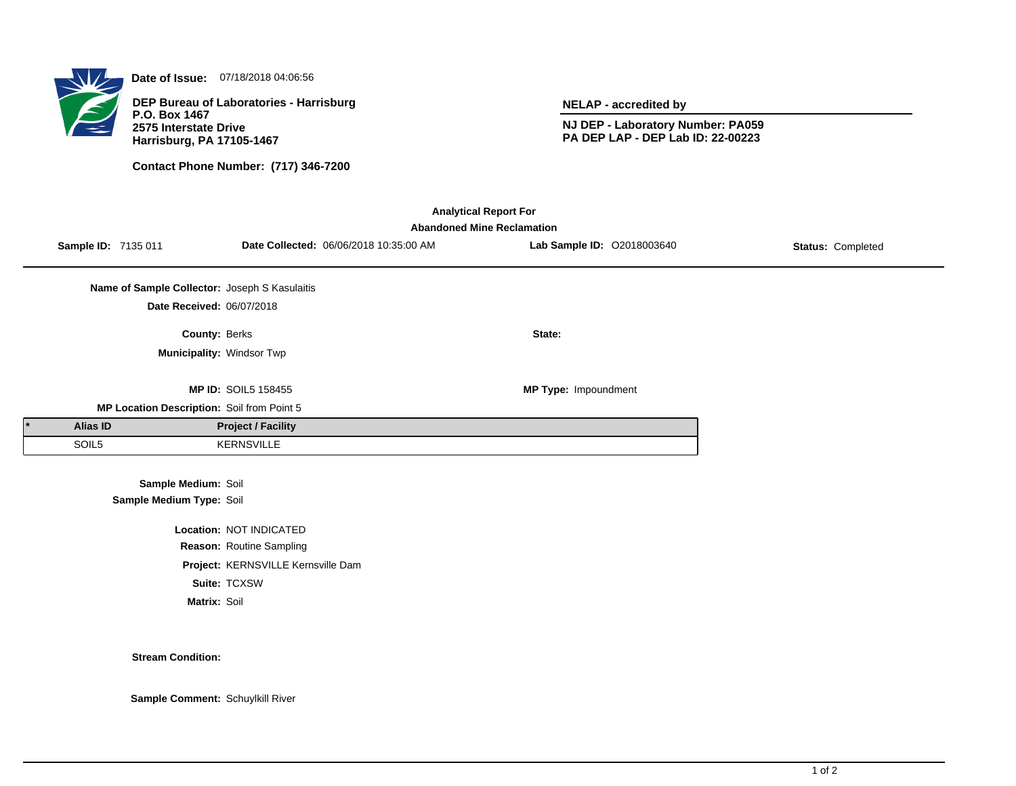

**Date of Issue:** 07/18/2018 04:06:56

**DEP Bureau of Laboratories - Harrisburg P.O. Box 1467 2575 Interstate Drive Harrisburg, PA 17105-1467**

**Contact Phone Number: (717) 346-7200**

**NELAP - accredited by**

**NJ DEP - Laboratory Number: PA059 PA DEP LAP - DEP Lab ID: 22-00223**

| <b>Analytical Report For</b><br><b>Abandoned Mine Reclamation</b> |          |                                               |                                    |                                        |                             |                   |  |  |  |
|-------------------------------------------------------------------|----------|-----------------------------------------------|------------------------------------|----------------------------------------|-----------------------------|-------------------|--|--|--|
|                                                                   |          | Sample ID: 7135 011                           |                                    | Date Collected: 06/06/2018 10:35:00 AM | Lab Sample ID: 02018003640  | Status: Completed |  |  |  |
|                                                                   |          | Name of Sample Collector: Joseph S Kasulaitis |                                    |                                        |                             |                   |  |  |  |
|                                                                   |          | Date Received: 06/07/2018                     |                                    |                                        |                             |                   |  |  |  |
|                                                                   |          | County: Berks                                 |                                    |                                        | State:                      |                   |  |  |  |
|                                                                   |          | Municipality: Windsor Twp                     |                                    |                                        |                             |                   |  |  |  |
|                                                                   |          |                                               | <b>MP ID: SOIL5 158455</b>         |                                        | <b>MP Type: Impoundment</b> |                   |  |  |  |
|                                                                   |          | MP Location Description: Soil from Point 5    |                                    |                                        |                             |                   |  |  |  |
|                                                                   | Alias ID |                                               | <b>Project / Facility</b>          |                                        |                             |                   |  |  |  |
|                                                                   | SOIL5    |                                               | <b>KERNSVILLE</b>                  |                                        |                             |                   |  |  |  |
|                                                                   |          | Sample Medium: Soil                           |                                    |                                        |                             |                   |  |  |  |
|                                                                   |          | Sample Medium Type: Soil                      |                                    |                                        |                             |                   |  |  |  |
| Location: NOT INDICATED                                           |          |                                               |                                    |                                        |                             |                   |  |  |  |
|                                                                   |          |                                               | Reason: Routine Sampling           |                                        |                             |                   |  |  |  |
|                                                                   |          |                                               | Project: KERNSVILLE Kernsville Dam |                                        |                             |                   |  |  |  |

**Suite:** TCXSW

**Matrix:** Soil

**Stream Condition:**

**Sample Comment:** Schuylkill River